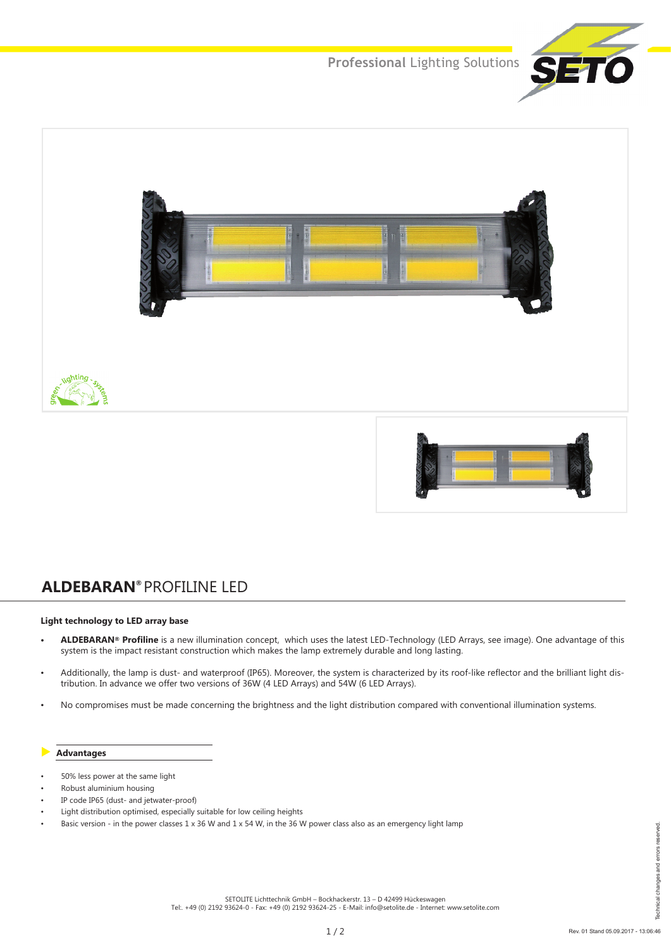**Professional** Lighting Solutions





# **ALDEBARAN®** PROFILINE LED

#### **Light technology to LED array base**

- **• ALDEBARAN® Profiline** is a new illumination concept, which uses the latest LED-Technology (LED Arrays, see image). One advantage of this system is the impact resistant construction which makes the lamp extremely durable and long lasting.
- Additionally, the lamp is dust- and waterproof (IP65). Moreover, the system is characterized by its roof-like reflector and the brilliant light distribution. In advance we offer two versions of 36W (4 LED Arrays) and 54W (6 LED Arrays).
- No compromises must be made concerning the brightness and the light distribution compared with conventional illumination systems.

#### **Advantages**

- 50% less power at the same light
- Robust aluminium housing
- IP code IP65 (dust- and jetwater-proof)
- Light distribution optimised, especially suitable for low ceiling heights
- Basic version in the power classes  $1 \times 36$  W and  $1 \times 54$  W, in the 36 W power class also as an emergency light lamp

SETOLITE Lichttechnik GmbH – Bockhackerstr. 13 – D 42499 Hückeswagen Tel:. +49 (0) 2192 93624-0 - Fax: +49 (0) 2192 93624-25 - E-Mail: info@setolite.de - Internet: www.setolite.com